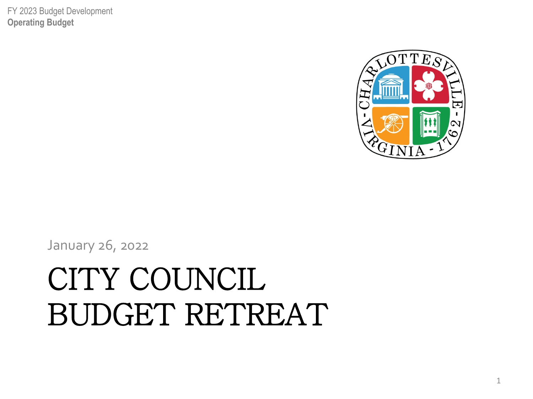#### CITY COUNCIL BUDGET RETREAT

January 26, 2022



FY 2023 Budget Development **Operating Budget**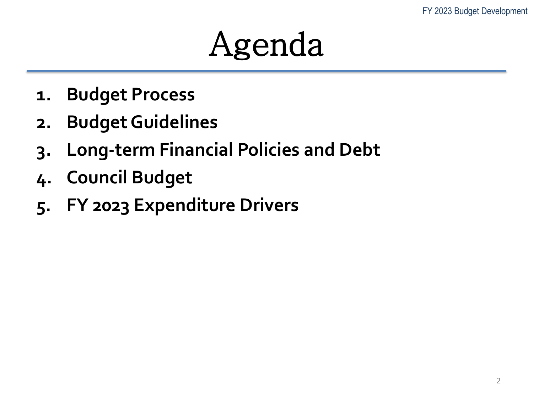#### Agenda

- **1. Budget Process**
- **2. Budget Guidelines**
- **3. Long-term Financial Policies and Debt**
- **4. Council Budget**
- **5. FY 2023 Expenditure Drivers**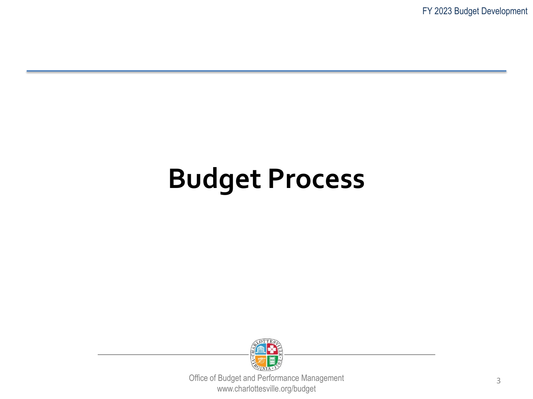FY 2023 Budget Development

#### **Budget Process**

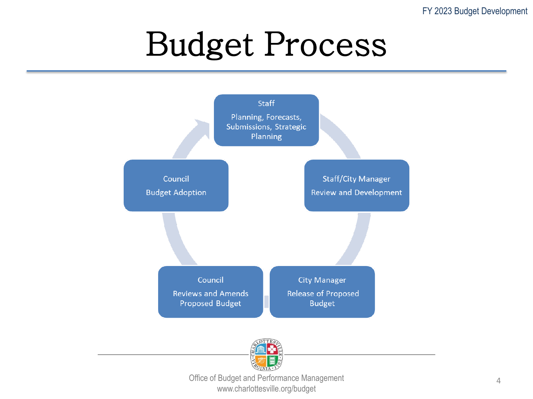#### Budget Process



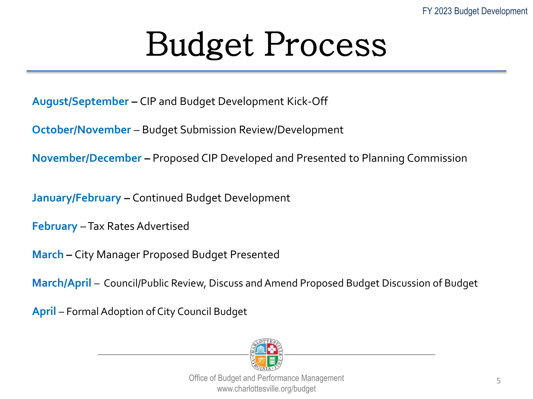#### Budget Process

**August/September –** CIP and Budget Development Kick-Off

**October/November** – Budget Submission Review/Development

**November/December –** Proposed CIP Developed and Presented to Planning Commission

**January/February –** Continued Budget Development

**February** –Tax Rates Advertised

**March –** City Manager Proposed Budget Presented

**March/April** – Council/Public Review, Discuss and Amend Proposed Budget Discussion of Budget

**April** – Formal Adoption of City Council Budget

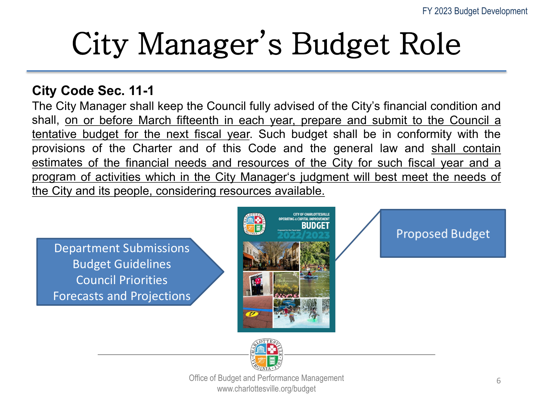#### City Manager's Budget Role

#### **City Code Sec. 11-1**

The City Manager shall keep the Council fully advised of the City's financial condition and shall, on or before March fifteenth in each year, prepare and submit to the Council a tentative budget for the next fiscal year. Such budget shall be in conformity with the provisions of the Charter and of this Code and the general law and shall contain estimates of the financial needs and resources of the City for such fiscal year and a program of activities which in the City Manager's judgment will best meet the needs of the City and its people, considering resources available.

Department Submissions Budget Guidelines Council Priorities Forecasts and Projections



**Proposed Budget** 

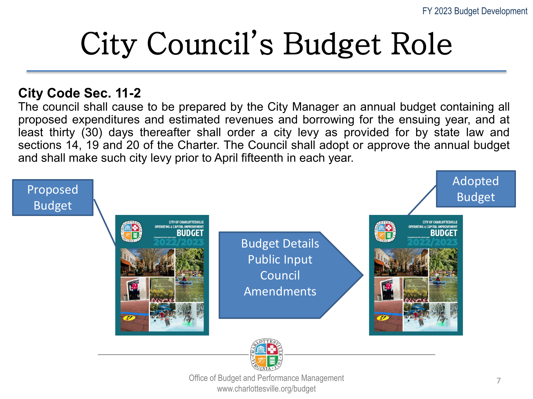### City Council's Budget Role

#### **City Code Sec. 11-2**

The council shall cause to be prepared by the City Manager an annual budget containing all proposed expenditures and estimated revenues and borrowing for the ensuing year, and at least thirty (30) days thereafter shall order a city levy as provided for by state law and sections 14, 19 and 20 of the Charter. The Council shall adopt or approve the annual budget and shall make such city levy prior to April fifteenth in each year.



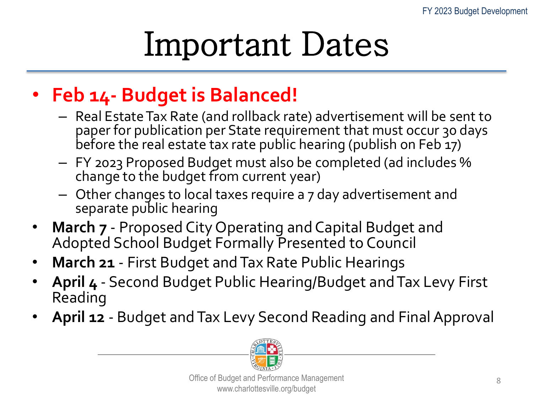#### Important Dates

#### • **Feb 14- Budget is Balanced!**

- Real Estate Tax Rate (and rollback rate) advertisement will be sent to paper for publication per State requirement that must occur 30 days before the real estate tax rate public hearing (publish on Feb 17)
- FY 2023 Proposed Budget must also be completed (ad includes % change to the budget from current year)
- Other changes to local taxes require a 7 day advertisement and separate public hearing
- **March 7** Proposed City Operating and Capital Budget and Adopted School Budget Formally Presented to Council
- **March 21** First Budget and Tax Rate Public Hearings
- **April 4** Second Budget Public Hearing/Budget and Tax Levy First Reading
- **April 12**  Budget and Tax Levy Second Reading and Final Approval

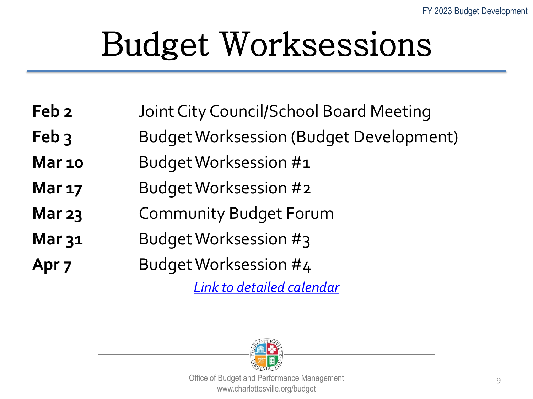## Budget Worksessions

- **Feb 2** Joint City Council/School Board Meeting
- **Feb 3** Budget Worksession (Budget Development)
- **Mar 10** Budget Worksession #1
- **Mar 17** Budget Worksession #2
- **Mar 23** Community Budget Forum
- **Mar 31** Budget Worksession #3
- Apr 7 Budget Worksession #4

*[Link to detailed calendar](https://charlottesville.gov/DocumentCenter/View/6467/FY23-Budget-Development-Public-Meetings?bidId=)*

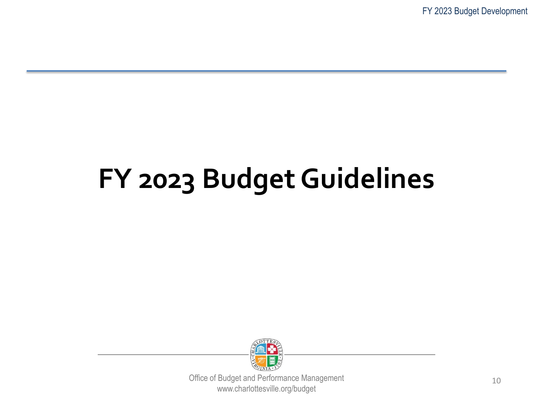FY 2023 Budget Development

#### **FY 2023 Budget Guidelines**

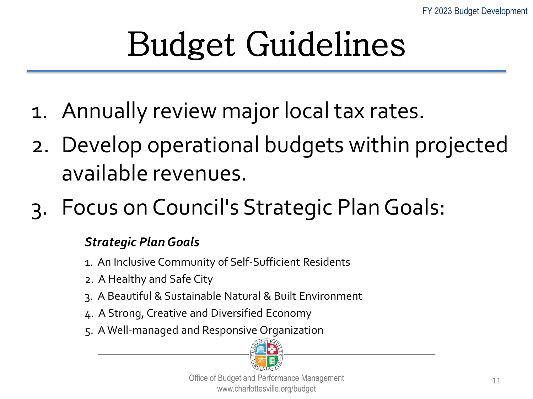## Budget Guidelines

- 1. Annually review major local tax rates.
- 2. Develop operational budgets within projected available revenues.
- 3. Focus on Council's Strategic Plan Goals:

#### *Strategic Plan Goals*

- 1. An Inclusive Community of Self-Sufficient Residents
- 2. A Healthy and Safe City
- 3. A Beautiful & Sustainable Natural & Built Environment
- 4. A Strong, Creative and Diversified Economy
- 5. A Well-managed and Responsive Organization

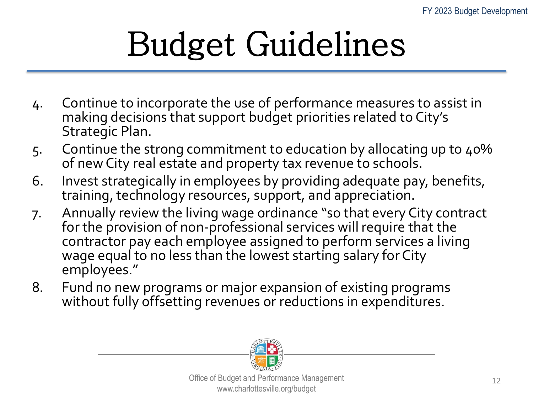# Budget Guidelines

- 4. Continue to incorporate the use of performance measures to assist in making decisions that support budget priorities related to City's Strategic Plan.
- 5. Continue the strong commitment to education by allocating up to 40% of new City real estate and property tax revenue to schools.
- 6. Invest strategically in employees by providing adequate pay, benefits, training, technology resources, support, and appreciation.
- 7. Annually review the living wage ordinance "so that every City contract for the provision of non-professional services will require that the contractor pay each employee assigned to perform services a living wage equal to no less than the lowest starting salary for City employees."
- 8. Fund no new programs or major expansion of existing programs without fully offsetting revenues or reductions in expenditures.

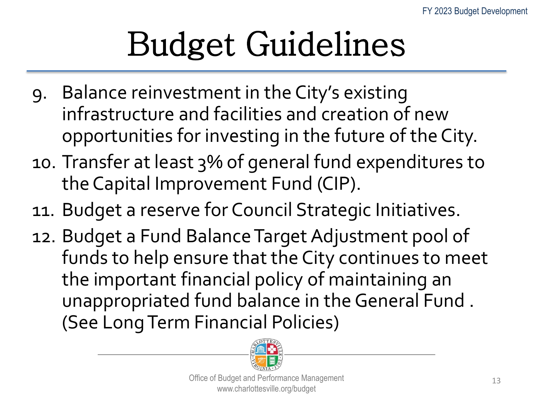# Budget Guidelines

- 9. Balance reinvestment in the City's existing infrastructure and facilities and creation of new opportunities for investing in the future of the City.
- 10. Transfer at least 3% of general fund expenditures to the Capital Improvement Fund (CIP).
- 11. Budget a reserve for Council Strategic Initiatives.
- 12. Budget a Fund Balance Target Adjustment pool of funds to help ensure that the City continues to meet the important financial policy of maintaining an unappropriated fund balance in the General Fund . (See Long Term Financial Policies)

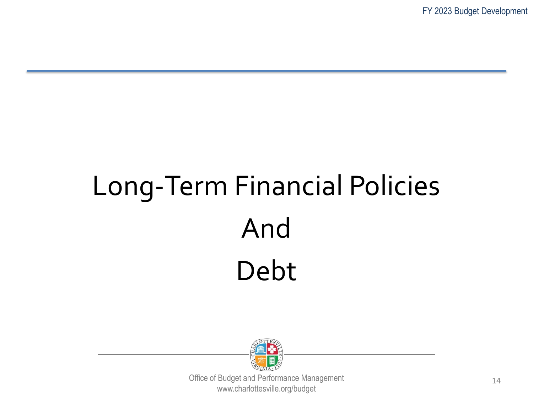## Long-Term Financial Policies And Debt

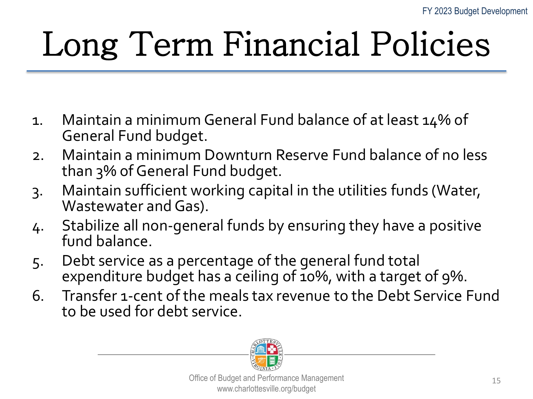# Long Term Financial Policies

- 1. Maintain a minimum General Fund balance of at least 14% of General Fund budget.
- 2. Maintain a minimum Downturn Reserve Fund balance of no less than 3% of General Fund budget.
- 3. Maintain sufficient working capital in the utilities funds (Water, Wastewater and Gas).
- 4. Stabilize all non-general funds by ensuring they have a positive fund balance.
- 5. Debt service as a percentage of the general fund total expenditure budget has a ceiling of 10%, with a target of 9%.
- 6. Transfer 1-cent of the meals tax revenue to the Debt Service Fund to be used for debt service.

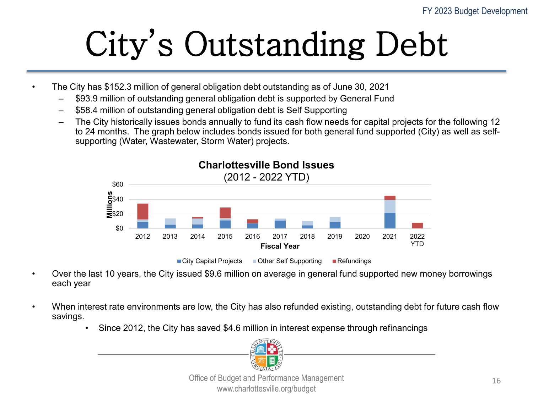# City's Outstanding Debt

- The City has \$152.3 million of general obligation debt outstanding as of June 30, 2021
	- \$93.9 million of outstanding general obligation debt is supported by General Fund
	- \$58.4 million of outstanding general obligation debt is Self Supporting
	- The City historically issues bonds annually to fund its cash flow needs for capital projects for the following 12 to 24 months. The graph below includes bonds issued for both general fund supported (City) as well as selfsupporting (Water, Wastewater, Storm Water) projects.



■ City Capital Projects ■ Other Self Supporting ■ Refundings

- Over the last 10 years, the City issued \$9.6 million on average in general fund supported new money borrowings each year
- When interest rate environments are low, the City has also refunded existing, outstanding debt for future cash flow savings.
	- Since 2012, the City has saved \$4.6 million in interest expense through refinancings

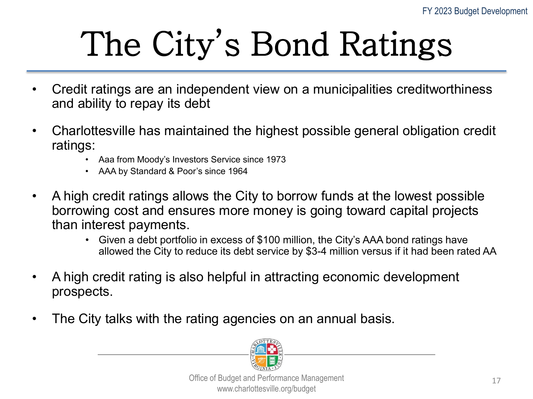# The City's Bond Ratings

- Credit ratings are an independent view on a municipalities creditworthiness and ability to repay its debt
- Charlottesville has maintained the highest possible general obligation credit ratings: • Aaa from Moody's Investors Service since 1973
	-
	- AAA by Standard & Poor's since 1964
- A high credit ratings allows the City to borrow funds at the lowest possible borrowing cost and ensures more money is going toward capital projects than interest payments.
	- Given a debt portfolio in excess of \$100 million, the City's AAA bond ratings have allowed the City to reduce its debt service by \$3-4 million versus if it had been rated AA
- A high credit rating is also helpful in attracting economic development prospects.
- The City talks with the rating agencies on an annual basis.

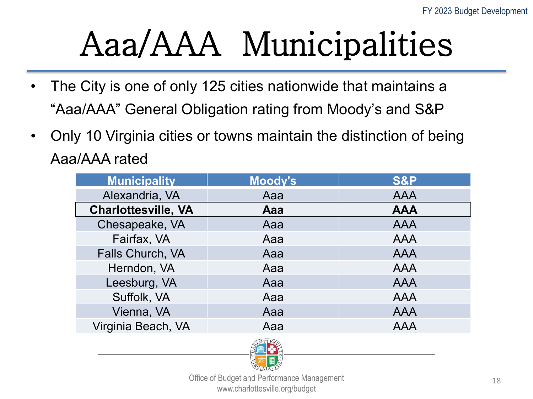## Aaa/AAA Municipalities

- The City is one of only 125 cities nationwide that maintains a "Aaa/AAA" General Obligation rating from Moody's and S&P
- Only 10 Virginia cities or towns maintain the distinction of being Aaa/AAA rated

| <b>Municipality</b>        | <b>Moody's</b> | <b>S&amp;P</b> |
|----------------------------|----------------|----------------|
| Alexandria, VA             | Aaa            | <b>AAA</b>     |
| <b>Charlottesville, VA</b> | Aaa            | <b>AAA</b>     |
| Chesapeake, VA             | Aaa            | <b>AAA</b>     |
| Fairfax, VA                | Aaa            | <b>AAA</b>     |
| Falls Church, VA           | Aaa            | <b>AAA</b>     |
| Herndon, VA                | Aaa            | <b>AAA</b>     |
| Leesburg, VA               | Aaa            | <b>AAA</b>     |
| Suffolk, VA                | Aaa            | <b>AAA</b>     |
| Vienna, VA                 | Aaa            | <b>AAA</b>     |
| Virginia Beach, VA         | Aaa            | <b>AAA</b>     |

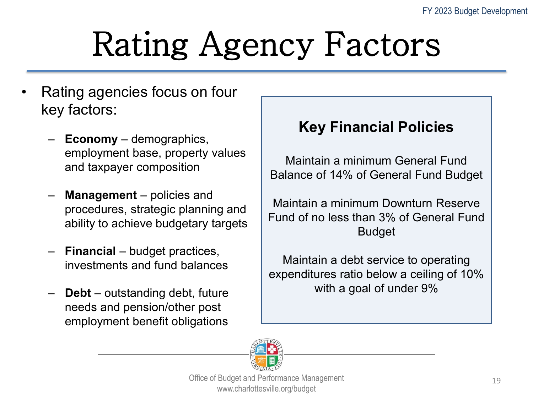## Rating Agency Factors

- Rating agencies focus on four key factors:
	- **Economy** demographics, employment base, property values and taxpayer composition
	- **Management** policies and procedures, strategic planning and ability to achieve budgetary targets
	- **Financial** budget practices, investments and fund balances
	- **Debt** outstanding debt, future needs and pension/other post employment benefit obligations

#### **Key Financial Policies**

Maintain a minimum General Fund Balance of 14% of General Fund Budget

Maintain a minimum Downturn Reserve Fund of no less than 3% of General Fund Budget

Maintain a debt service to operating expenditures ratio below a ceiling of 10% with a goal of under 9%

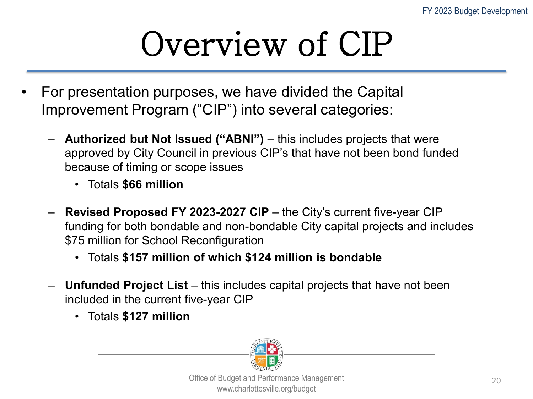## Overview of CIP

- For presentation purposes, we have divided the Capital Improvement Program ("CIP") into several categories:
	- **Authorized but Not Issued ("ABNI")** this includes projects that were approved by City Council in previous CIP's that have not been bond funded because of timing or scope issues
		- Totals **\$66 million**
	- **Revised Proposed FY 2023-2027 CIP**  the City's current five-year CIP funding for both bondable and non-bondable City capital projects and includes \$75 million for School Reconfiguration
		- Totals **\$157 million of which \$124 million is bondable**
	- **Unfunded Project List** this includes capital projects that have not been included in the current five-year CIP
		- Totals **\$127 million**

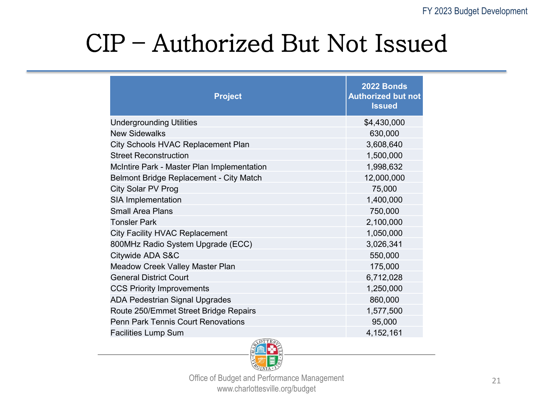#### CIP – Authorized But Not Issued

| \$4,430,000<br>630,000<br>3,608,640<br>1,500,000<br>1,998,632<br>12,000,000<br>75,000<br>1,400,000<br>750,000<br>2,100,000<br>1,050,000<br>3,026,341<br>550,000<br>175,000<br>6,712,028<br>1,250,000<br>860,000 | <b>Project</b>                             | 2022 Bonds<br><b>Authorized but not</b><br><b>Issued</b> |
|-----------------------------------------------------------------------------------------------------------------------------------------------------------------------------------------------------------------|--------------------------------------------|----------------------------------------------------------|
|                                                                                                                                                                                                                 | <b>Undergrounding Utilities</b>            |                                                          |
|                                                                                                                                                                                                                 | <b>New Sidewalks</b>                       |                                                          |
|                                                                                                                                                                                                                 | City Schools HVAC Replacement Plan         |                                                          |
|                                                                                                                                                                                                                 | <b>Street Reconstruction</b>               |                                                          |
|                                                                                                                                                                                                                 | McIntire Park - Master Plan Implementation |                                                          |
|                                                                                                                                                                                                                 | Belmont Bridge Replacement - City Match    |                                                          |
|                                                                                                                                                                                                                 | City Solar PV Prog                         |                                                          |
|                                                                                                                                                                                                                 | <b>SIA Implementation</b>                  |                                                          |
|                                                                                                                                                                                                                 | <b>Small Area Plans</b>                    |                                                          |
|                                                                                                                                                                                                                 | <b>Tonsler Park</b>                        |                                                          |
|                                                                                                                                                                                                                 | <b>City Facility HVAC Replacement</b>      |                                                          |
|                                                                                                                                                                                                                 | 800MHz Radio System Upgrade (ECC)          |                                                          |
|                                                                                                                                                                                                                 | Citywide ADA S&C                           |                                                          |
|                                                                                                                                                                                                                 | Meadow Creek Valley Master Plan            |                                                          |
|                                                                                                                                                                                                                 | <b>General District Court</b>              |                                                          |
|                                                                                                                                                                                                                 | <b>CCS Priority Improvements</b>           |                                                          |
|                                                                                                                                                                                                                 | <b>ADA Pedestrian Signal Upgrades</b>      |                                                          |
|                                                                                                                                                                                                                 | Route 250/Emmet Street Bridge Repairs      | 1,577,500                                                |
| 95,000                                                                                                                                                                                                          | <b>Penn Park Tennis Court Renovations</b>  |                                                          |
| 4, 152, 161                                                                                                                                                                                                     | <b>Facilities Lump Sum</b>                 |                                                          |

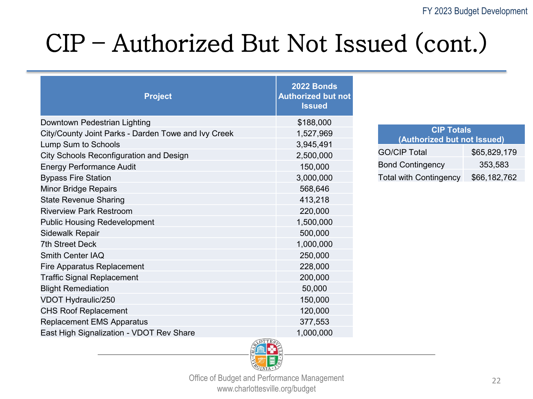#### CIP – Authorized But Not Issued (cont.)

| <b>Project</b>                                      | <b>2022 Bonds</b><br><b>Authorized but not</b><br><b>Issued</b> |                             |              |
|-----------------------------------------------------|-----------------------------------------------------------------|-----------------------------|--------------|
| Downtown Pedestrian Lighting                        | \$188,000                                                       | <b>CIP Totals</b>           |              |
| City/County Joint Parks - Darden Towe and Ivy Creek | 1,527,969                                                       | (Authorized but not Issued) |              |
| Lump Sum to Schools                                 | 3,945,491                                                       |                             |              |
| City Schools Reconfiguration and Design             | 2,500,000                                                       | <b>GO/CIP Total</b>         | \$65,829,179 |
| <b>Energy Performance Audit</b>                     | 150,000                                                         | <b>Bond Contingency</b>     | 353,583      |
| <b>Bypass Fire Station</b>                          | 3,000,000                                                       | Total with Contingency      | \$66,182,762 |
| <b>Minor Bridge Repairs</b>                         | 568,646                                                         |                             |              |
| <b>State Revenue Sharing</b>                        | 413,218                                                         |                             |              |
| <b>Riverview Park Restroom</b>                      | 220,000                                                         |                             |              |
| <b>Public Housing Redevelopment</b>                 | 1,500,000                                                       |                             |              |
| <b>Sidewalk Repair</b>                              | 500,000                                                         |                             |              |
| <b>7th Street Deck</b>                              | 1,000,000                                                       |                             |              |
| <b>Smith Center IAQ</b>                             | 250,000                                                         |                             |              |
| <b>Fire Apparatus Replacement</b>                   | 228,000                                                         |                             |              |
| <b>Traffic Signal Replacement</b>                   | 200,000                                                         |                             |              |
| <b>Blight Remediation</b>                           | 50,000                                                          |                             |              |
| VDOT Hydraulic/250                                  | 150,000                                                         |                             |              |
| <b>CHS Roof Replacement</b>                         | 120,000                                                         |                             |              |
| <b>Replacement EMS Apparatus</b>                    | 377,553                                                         |                             |              |
| East High Signalization - VDOT Rev Share            | 1,000,000                                                       |                             |              |

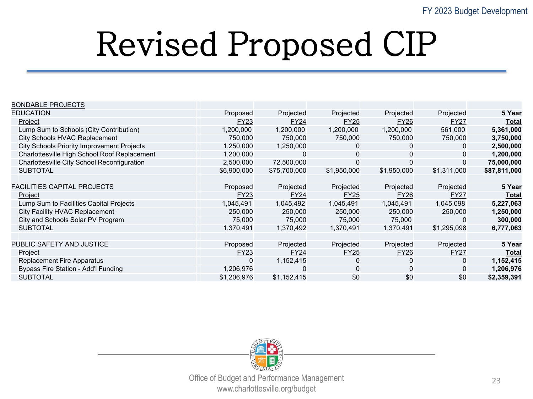### Revised Proposed CIP

| <b>EDUCATION</b><br>Projected<br>Projected<br>Projected<br>Proposed<br>Projected                          | 5 Year       |
|-----------------------------------------------------------------------------------------------------------|--------------|
|                                                                                                           |              |
| Project<br><b>FY27</b><br>FY23<br><b>FY24</b><br><b>FY25</b><br><b>FY26</b>                               | Total        |
| Lump Sum to Schools (City Contribution)<br>1,200,000<br>1,200,000<br>1,200,000<br>1,200,000<br>561,000    | 5,361,000    |
| City Schools HVAC Replacement<br>750,000<br>750,000<br>750,000<br>750,000<br>750,000                      | 3,750,000    |
| <b>City Schools Priority Improvement Projects</b><br>1,250,000<br>1,250,000<br>0<br>$\mathbf 0$<br>0      | 2,500,000    |
| Charlottesville High School Roof Replacement<br>1,200,000<br>0<br>$\mathbf 0$<br>0<br>0                   | 1,200,000    |
| Charlottesville City School Reconfiguration<br>$\mathbf 0$<br>2,500,000<br>$\mathbf 0$<br>72,500,000<br>0 | 75,000,000   |
| <b>SUBTOTAL</b><br>\$6,900,000<br>\$75,700,000<br>\$1,950,000<br>\$1,950,000<br>\$1,311,000               | \$87,811,000 |
|                                                                                                           |              |
| <b>FACILITIES CAPITAL PROJECTS</b><br>Projected<br>Projected<br>Projected<br>Projected<br>Proposed        | 5 Year       |
| <b>FY23</b><br><b>FY24</b><br><b>FY25</b><br><b>FY26</b><br><b>FY27</b><br>Project                        | Total        |
| Lump Sum to Facilities Capital Projects<br>1,045,491<br>1,045,492<br>1,045,491<br>1,045,491<br>1,045,098  | 5,227,063    |
| City Facility HVAC Replacement<br>250,000<br>250,000<br>250,000<br>250,000<br>250,000                     | 1,250,000    |
| City and Schools Solar PV Program<br>75,000<br>75,000<br>75,000<br>75,000<br>0                            | 300,000      |
| <b>SUBTOTAL</b><br>1,370,491<br>1,370,492<br>1,370,491<br>1,370,491<br>\$1,295,098                        | 6,777,063    |
|                                                                                                           |              |
| PUBLIC SAFETY AND JUSTICE<br>Projected<br>Projected<br>Projected<br>Proposed<br>Projected                 | 5 Year       |
| <b>FY27</b><br><b>FY24</b><br><b>FY25</b><br><b>FY26</b><br>Project<br>FY23                               | Total        |
| Replacement Fire Apparatus<br>1,152,415<br>0<br>$\mathbf 0$<br>0<br>0                                     | 1,152,415    |
| Bypass Fire Station - Add'l Funding<br>$\mathbf 0$<br>$\mathbf 0$<br>1,206,976<br>$\Omega$                | 1,206,976    |
| \$0<br>\$0<br>\$0<br><b>SUBTOTAL</b><br>\$1,206,976<br>\$1,152,415                                        | \$2,359,391  |

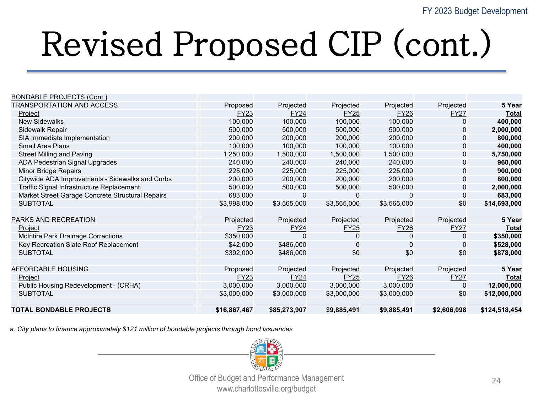| <b>BONDABLE PROJECTS (Cont.)</b>                 |              |              |             |             |                |               |
|--------------------------------------------------|--------------|--------------|-------------|-------------|----------------|---------------|
| TRANSPORTATION AND ACCESS                        | Proposed     | Projected    | Projected   | Projected   | Projected      | 5 Year        |
| Project                                          | <b>FY23</b>  | <b>FY24</b>  | <b>FY25</b> | <b>FY26</b> | <b>FY27</b>    | Total         |
| <b>New Sidewalks</b>                             | 100,000      | 100,000      | 100,000     | 100,000     | 0              | 400,000       |
| Sidewalk Repair                                  | 500,000      | 500,000      | 500,000     | 500,000     | $\overline{0}$ | 2,000,000     |
| SIA Immediate Implementation                     | 200,000      | 200,000      | 200,000     | 200,000     | $\mathbf 0$    | 800,000       |
| Small Area Plans                                 | 100,000      | 100,000      | 100,000     | 100,000     | $\overline{0}$ | 400,000       |
| <b>Street Milling and Paving</b>                 | 1,250,000    | 1,500,000    | 1,500,000   | 1,500,000   | $\mathbf 0$    | 5,750,000     |
| <b>ADA Pedestrian Signal Upgrades</b>            | 240,000      | 240,000      | 240,000     | 240,000     | $\overline{0}$ | 960,000       |
| Minor Bridge Repairs                             | 225,000      | 225,000      | 225,000     | 225,000     | $\mathbf 0$    | 900,000       |
| Citywide ADA Improvements - Sidewalks and Curbs  | 200,000      | 200,000      | 200,000     | 200,000     | $\overline{0}$ | 800,000       |
| Traffic Signal Infrastructure Replacement        | 500,000      | 500,000      | 500,000     | 500,000     | $\overline{0}$ | 2,000,000     |
| Market Street Garage Concrete Structural Repairs | 683,000      | 0            | $\Omega$    | $\mathbf 0$ | $\mathbf 0$    | 683,000       |
| <b>SUBTOTAL</b>                                  | \$3,998,000  | \$3,565,000  | \$3,565,000 | \$3,565,000 | \$0            | \$14,693,000  |
|                                                  |              |              |             |             |                |               |
| PARKS AND RECREATION                             | Projected    | Projected    | Projected   | Projected   | Projected      | 5 Year        |
| <u>Project</u>                                   | <b>FY23</b>  | <b>FY24</b>  | <b>FY25</b> | <b>FY26</b> | <b>FY27</b>    | <b>Total</b>  |
| McIntire Park Drainage Corrections               | \$350,000    |              | 0           | 0           | $\mathbf 0$    | \$350,000     |
| Key Recreation Slate Roof Replacement            | \$42,000     | \$486,000    | $\Omega$    | 0           | $\mathbf 0$    | \$528,000     |
| <b>SUBTOTAL</b>                                  | \$392,000    | \$486,000    | \$0         | \$0         | \$0            | \$878,000     |
|                                                  |              |              |             |             |                |               |
| AFFORDABLE HOUSING                               | Proposed     | Projected    | Projected   | Projected   | Projected      | 5 Year        |
| Project                                          | FY23         | <b>FY24</b>  | <b>FY25</b> | <b>FY26</b> | FY27           | Total         |
| Public Housing Redevelopment - (CRHA)            | 3,000,000    | 3,000,000    | 3,000,000   | 3,000,000   | 0              | 12,000,000    |
| <b>SUBTOTAL</b>                                  | \$3,000,000  | \$3,000,000  | \$3,000,000 | \$3,000,000 | \$0            | \$12,000,000  |
|                                                  |              |              |             |             |                |               |
| <b>TOTAL BONDABLE PROJECTS</b>                   | \$16,867,467 | \$85,273,907 | \$9,885,491 | \$9,885,491 | \$2,606,098    | \$124,518,454 |

*a. City plans to finance approximately \$121 million of bondable projects through bond issuances*

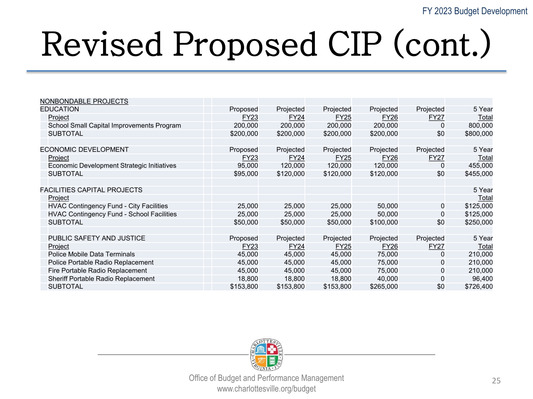| NONBONDABLE PROJECTS                           |             |             |             |             |             |           |
|------------------------------------------------|-------------|-------------|-------------|-------------|-------------|-----------|
| <b>EDUCATION</b>                               | Proposed    | Projected   | Projected   | Projected   | Projected   | 5 Year    |
| Project                                        | FY23        | <b>FY24</b> | <b>FY25</b> | <b>FY26</b> | <b>FY27</b> | Total     |
| School Small Capital Improvements Program      | 200,000     | 200,000     | 200.000     | 200,000     | $\mathbf 0$ | 800,000   |
| <b>SUBTOTAL</b>                                | \$200,000   | \$200,000   | \$200,000   | \$200,000   | \$0         | \$800,000 |
|                                                |             |             |             |             |             |           |
| ECONOMIC DEVELOPMENT                           | Proposed    | Projected   | Projected   | Projected   | Projected   | 5 Year    |
| Project                                        | <b>FY23</b> | <b>FY24</b> | <b>FY25</b> | <b>FY26</b> | FY27        | Total     |
| Economic Development Strategic Initiatives     | 95,000      | 120,000     | 120,000     | 120,000     | $\mathbf 0$ | 455,000   |
| <b>SUBTOTAL</b>                                | \$95,000    | \$120,000   | \$120,000   | \$120,000   | \$0         | \$455,000 |
|                                                |             |             |             |             |             |           |
| <b>FACILITIES CAPITAL PROJECTS</b>             |             |             |             |             |             | 5 Year    |
| Project                                        |             |             |             |             |             | Total     |
| <b>HVAC Contingency Fund - City Facilities</b> | 25,000      | 25,000      | 25,000      | 50,000      | $\mathbf 0$ | \$125,000 |
| HVAC Contingency Fund - School Facilities      | 25,000      | 25,000      | 25,000      | 50,000      | $\mathbf 0$ | \$125,000 |
| <b>SUBTOTAL</b>                                | \$50,000    | \$50,000    | \$50,000    | \$100,000   | \$0         | \$250,000 |
|                                                |             |             |             |             |             |           |
| PUBLIC SAFETY AND JUSTICE                      | Proposed    | Projected   | Projected   | Projected   | Projected   | 5 Year    |
| Project                                        | <b>FY23</b> | <b>FY24</b> | <b>FY25</b> | <b>FY26</b> | <b>FY27</b> | Total     |
| Police Mobile Data Terminals                   | 45,000      | 45,000      | 45,000      | 75,000      | $\mathbf 0$ | 210,000   |
| Police Portable Radio Replacement              | 45,000      | 45,000      | 45,000      | 75,000      | $\mathbf 0$ | 210,000   |
| Fire Portable Radio Replacement                | 45,000      | 45,000      | 45,000      | 75,000      | $\mathbf 0$ | 210,000   |
| Sheriff Portable Radio Replacement             | 18,800      | 18,800      | 18,800      | 40,000      | $\mathbf 0$ | 96,400    |
| <b>SUBTOTAL</b>                                | \$153,800   | \$153,800   | \$153,800   | \$265,000   | \$0         | \$726,400 |

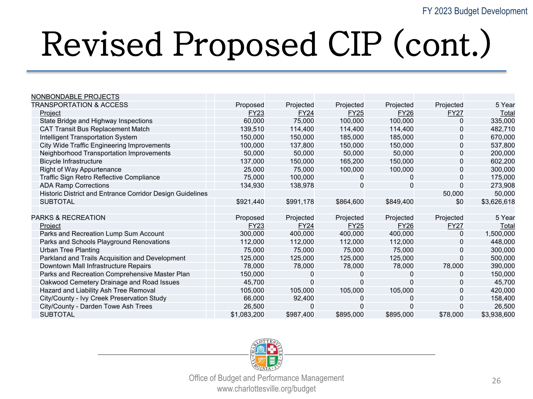| NONBONDABLE PROJECTS                                      |             |              |             |             |             |             |
|-----------------------------------------------------------|-------------|--------------|-------------|-------------|-------------|-------------|
| <b>TRANSPORTATION &amp; ACCESS</b>                        | Proposed    | Projected    | Projected   | Projected   | Projected   | 5 Year      |
| Project                                                   | FY23        | <b>FY24</b>  | <b>FY25</b> | <b>FY26</b> | <b>FY27</b> | Total       |
| State Bridge and Highway Inspections                      | 60,000      | 75,000       | 100,000     | 100,000     | $\mathbf 0$ | 335,000     |
| <b>CAT Transit Bus Replacement Match</b>                  | 139,510     | 114,400      | 114,400     | 114,400     | 0           | 482,710     |
| Intelligent Transportation System                         | 150,000     | 150,000      | 185,000     | 185,000     | $\mathbf 0$ | 670,000     |
| City Wide Traffic Engineering Improvements                | 100,000     | 137,800      | 150,000     | 150,000     | $\mathbf 0$ | 537,800     |
| Neighborhood Transportation Improvements                  | 50,000      | 50,000       | 50,000      | 50,000      | $\mathbf 0$ | 200,000     |
| <b>Bicycle Infrastructure</b>                             | 137,000     | 150,000      | 165,200     | 150,000     | $\mathbf 0$ | 602,200     |
| Right of Way Appurtenance                                 | 25,000      | 75,000       | 100,000     | 100,000     | $\mathbf 0$ | 300,000     |
| Traffic Sign Retro Reflective Compliance                  | 75,000      | 100,000      | 0           | 0           | $\mathbf 0$ | 175,000     |
| <b>ADA Ramp Corrections</b>                               | 134,930     | 138,978      | 0           | 0           | $\mathbf 0$ | 273,908     |
| Historic District and Entrance Corridor Design Guidelines |             |              |             |             | 50,000      | 50,000      |
| <b>SUBTOTAL</b>                                           | \$921,440   | \$991,178    | \$864,600   | \$849,400   | \$0         | \$3,626,618 |
|                                                           |             |              |             |             |             |             |
| PARKS & RECREATION                                        | Proposed    | Projected    | Projected   | Projected   | Projected   | 5 Year      |
| Project                                                   | <b>FY23</b> | <b>FY24</b>  | <b>FY25</b> | <b>FY26</b> | <b>FY27</b> | Total       |
| Parks and Recreation Lump Sum Account                     | 300,000     | 400,000      | 400,000     | 400,000     | $\mathbf 0$ | 1,500,000   |
| Parks and Schools Playground Renovations                  | 112,000     | 112,000      | 112,000     | 112,000     | $\mathbf 0$ | 448,000     |
| <b>Urban Tree Planting</b>                                | 75,000      | 75,000       | 75,000      | 75,000      | $\mathbf 0$ | 300,000     |
| Parkland and Trails Acquisition and Development           | 125,000     | 125,000      | 125,000     | 125,000     | $\mathbf 0$ | 500,000     |
| Downtown Mall Infrastructure Repairs                      | 78,000      | 78,000       | 78,000      | 78,000      | 78,000      | 390,000     |
| Parks and Recreation Comprehensive Master Plan            | 150,000     | 0            | 0           | 0           | 0           | 150,000     |
| Oakwood Cemetery Drainage and Road Issues                 | 45,700      | $\mathbf{0}$ | 0           | 0           | $\mathbf 0$ | 45,700      |
| Hazard and Liability Ash Tree Removal                     | 105,000     | 105,000      | 105,000     | 105,000     | $\mathbf 0$ | 420,000     |
| City/County - Ivy Creek Preservation Study                | 66,000      | 92,400       | 0           | 0           | $\mathbf 0$ | 158,400     |
| City/County - Darden Towe Ash Trees                       | 26,500      | 0            | 0           |             | 0           | 26,500      |
| <b>SUBTOTAL</b>                                           | \$1,083,200 | \$987,400    | \$895,000   | \$895,000   | \$78,000    | \$3,938,600 |

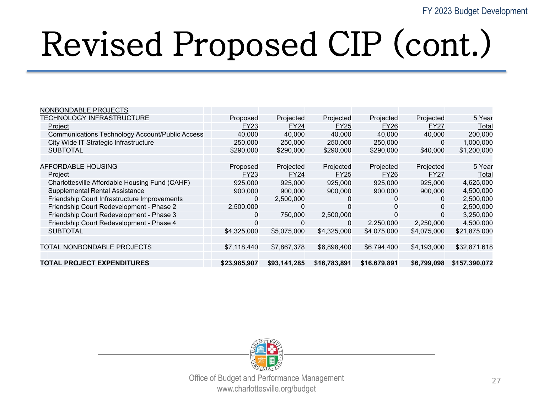| NONBONDABLE PROJECTS                                   |              |              |              |              |                |               |
|--------------------------------------------------------|--------------|--------------|--------------|--------------|----------------|---------------|
| TECHNOLOGY INFRASTRUCTURE                              | Proposed     | Projected    | Projected    | Projected    | Projected      | 5 Year        |
| Project                                                | FY23         | <b>FY24</b>  | <b>FY25</b>  | <b>FY26</b>  | <b>FY27</b>    | Total         |
| <b>Communications Technology Account/Public Access</b> | 40,000       | 40,000       | 40,000       | 40,000       | 40,000         | 200,000       |
| City Wide IT Strategic Infrastructure                  | 250,000      | 250,000      | 250,000      | 250,000      | 0              | 1,000,000     |
| <b>SUBTOTAL</b>                                        | \$290,000    | \$290,000    | \$290,000    | \$290,000    | \$40,000       | \$1,200,000   |
|                                                        |              |              |              |              |                |               |
| AFFORDABLE HOUSING                                     | Proposed     | Projected    | Projected    | Projected    | Projected      | 5 Year        |
| Project                                                | FY23         | <b>FY24</b>  | <b>FY25</b>  | <b>FY26</b>  | <b>FY27</b>    | Total         |
| Charlottesville Affordable Housing Fund (CAHF)         | 925.000      | 925,000      | 925,000      | 925,000      | 925,000        | 4,625,000     |
| <b>Supplemental Rental Assistance</b>                  | 900,000      | 900,000      | 900,000      | 900,000      | 900,000        | 4,500,000     |
| Friendship Court Infrastructure Improvements           | 0            | 2,500,000    | 0            | 0            | 0              | 2,500,000     |
| Friendship Court Redevelopment - Phase 2               | 2,500,000    | 0            | 0            | 0            | $\overline{0}$ | 2,500,000     |
| Friendship Court Redevelopment - Phase 3               | 0            | 750,000      | 2,500,000    | 0            | $\mathbf{0}$   | 3,250,000     |
| Friendship Court Redevelopment - Phase 4               | 0            | 0            | 0            | 2,250,000    | 2,250,000      | 4,500,000     |
| <b>SUBTOTAL</b>                                        | \$4,325,000  | \$5,075,000  | \$4,325,000  | \$4,075,000  | \$4,075,000    | \$21,875,000  |
|                                                        |              |              |              |              |                |               |
| TOTAL NONBONDABLE PROJECTS                             | \$7,118,440  | \$7,867,378  | \$6,898,400  | \$6,794,400  | \$4,193,000    | \$32,871,618  |
|                                                        |              |              |              |              |                |               |
| <b>TOTAL PROJECT EXPENDITURES</b>                      | \$23,985,907 | \$93,141,285 | \$16,783,891 | \$16,679,891 | \$6,799,098    | \$157,390,072 |

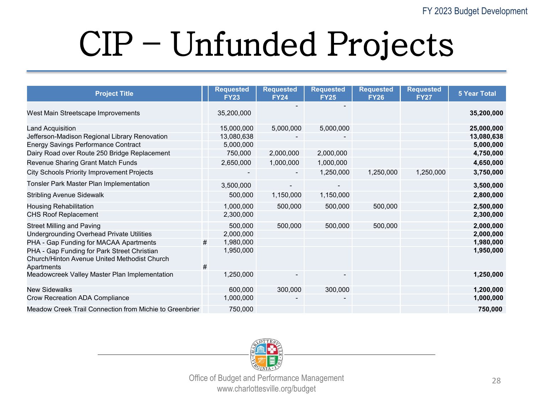## CIP – Unfunded Projects

| <b>Project Title</b>                                    |   | <b>Requested</b><br><b>FY23</b> | <b>Requested</b><br><b>FY24</b> | <b>Requested</b><br><b>FY25</b> | <b>Requested</b><br><b>FY26</b> | <b>Requested</b><br><b>FY27</b> | <b>5 Year Total</b> |
|---------------------------------------------------------|---|---------------------------------|---------------------------------|---------------------------------|---------------------------------|---------------------------------|---------------------|
| West Main Streetscape Improvements                      |   | 35,200,000                      |                                 |                                 |                                 |                                 | 35,200,000          |
| <b>Land Acquisition</b>                                 |   | 15,000,000                      | 5,000,000                       | 5,000,000                       |                                 |                                 | 25,000,000          |
| Jefferson-Madison Regional Library Renovation           |   | 13,080,638                      |                                 |                                 |                                 |                                 | 13,080,638          |
| <b>Energy Savings Performance Contract</b>              |   | 5,000,000                       |                                 |                                 |                                 |                                 | 5,000,000           |
| Dairy Road over Route 250 Bridge Replacement            |   | 750,000                         | 2,000,000                       | 2,000,000                       |                                 |                                 | 4,750,000           |
| Revenue Sharing Grant Match Funds                       |   | 2,650,000                       | 1,000,000                       | 1,000,000                       |                                 |                                 | 4,650,000           |
| <b>City Schools Priority Improvement Projects</b>       |   |                                 | $\overline{\phantom{a}}$        | 1,250,000                       | 1,250,000                       | 1,250,000                       | 3,750,000           |
| Tonsler Park Master Plan Implementation                 |   | 3,500,000                       |                                 |                                 |                                 |                                 | 3,500,000           |
| <b>Stribling Avenue Sidewalk</b>                        |   | 500,000                         | 1,150,000                       | 1,150,000                       |                                 |                                 | 2,800,000           |
| <b>Housing Rehabilitation</b>                           |   | 1,000,000                       | 500,000                         | 500,000                         | 500,000                         |                                 | 2,500,000           |
| <b>CHS Roof Replacement</b>                             |   | 2,300,000                       |                                 |                                 |                                 |                                 | 2,300,000           |
| <b>Street Milling and Paving</b>                        |   | 500,000                         | 500,000                         | 500,000                         | 500,000                         |                                 | 2,000,000           |
| <b>Undergrounding Overhead Private Utilities</b>        |   | 2,000,000                       |                                 |                                 |                                 |                                 | 2,000,000           |
| PHA - Gap Funding for MACAA Apartments                  | # | 1,980,000                       |                                 |                                 |                                 |                                 | 1,980,000           |
| PHA - Gap Funding for Park Street Christian             |   | 1,950,000                       |                                 |                                 |                                 |                                 | 1,950,000           |
| Church/Hinton Avenue United Methodist Church            |   |                                 |                                 |                                 |                                 |                                 |                     |
| Apartments                                              | # |                                 |                                 |                                 |                                 |                                 |                     |
| Meadowcreek Valley Master Plan Implementation           |   | 1,250,000                       |                                 |                                 |                                 |                                 | 1,250,000           |
| <b>New Sidewalks</b>                                    |   | 600,000                         | 300,000                         | 300,000                         |                                 |                                 | 1,200,000           |
| Crow Recreation ADA Compliance                          |   | 1,000,000                       |                                 |                                 |                                 |                                 | 1,000,000           |
| Meadow Creek Trail Connection from Michie to Greenbrier |   | 750,000                         |                                 |                                 |                                 |                                 | 750,000             |

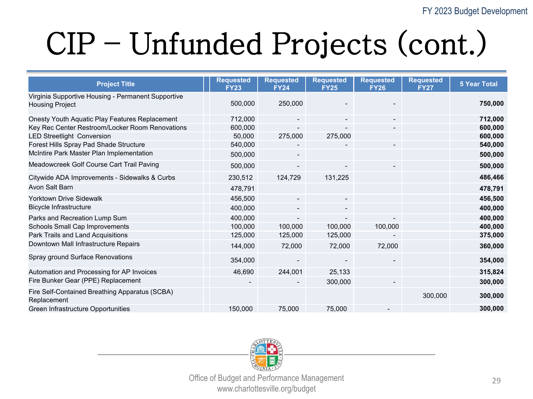#### CIP – Unfunded Projects (cont.)

| <b>Project Title</b>                                                         | <b>Requested</b><br><b>FY23</b> | <b>Requested</b><br><b>FY24</b> | <b>Requested</b><br><b>FY25</b> | <b>Requested</b><br><b>FY26</b> | <b>Requested</b><br><b>FY27</b> | <b>5 Year Total</b> |
|------------------------------------------------------------------------------|---------------------------------|---------------------------------|---------------------------------|---------------------------------|---------------------------------|---------------------|
| Virginia Supportive Housing - Permanent Supportive<br><b>Housing Project</b> | 500,000                         | 250,000                         |                                 |                                 |                                 | 750,000             |
| Onesty Youth Aquatic Play Features Replacement                               | 712,000                         | $\overline{\phantom{a}}$        |                                 | $\overline{\phantom{0}}$        |                                 | 712,000             |
| Key Rec Center Restroom/Locker Room Renovations                              | 600,000                         |                                 |                                 |                                 |                                 | 600,000             |
| <b>LED Streetlight Conversion</b>                                            | 50,000                          | 275,000                         | 275,000                         |                                 |                                 | 600,000             |
| Forest Hills Spray Pad Shade Structure                                       | 540,000                         | $\blacksquare$                  |                                 | $\blacksquare$                  |                                 | 540,000             |
| McIntire Park Master Plan Implementation                                     | 500,000                         | $\blacksquare$                  |                                 |                                 |                                 | 500,000             |
| Meadowcreek Golf Course Cart Trail Paving                                    | 500,000                         | $\overline{\phantom{a}}$        |                                 |                                 |                                 | 500,000             |
| Citywide ADA Improvements - Sidewalks & Curbs                                | 230,512                         | 124,729                         | 131,225                         |                                 |                                 | 486,466             |
| Avon Salt Barn                                                               | 478,791                         |                                 |                                 |                                 |                                 | 478,791             |
| <b>Yorktown Drive Sidewalk</b>                                               | 456,500                         | $\blacksquare$                  |                                 |                                 |                                 | 456,500             |
| Bicycle Infrastructure                                                       | 400,000                         | $\overline{\phantom{a}}$        |                                 |                                 |                                 | 400,000             |
| Parks and Recreation Lump Sum                                                | 400,000                         | $\overline{\phantom{a}}$        |                                 |                                 |                                 | 400,000             |
| Schools Small Cap Improvements                                               | 100,000                         | 100,000                         | 100,000                         | 100,000                         |                                 | 400,000             |
| Park Trails and Land Acquisitions                                            | 125,000                         | 125,000                         | 125,000                         |                                 |                                 | 375,000             |
| Downtown Mall Infrastructure Repairs                                         | 144,000                         | 72,000                          | 72,000                          | 72,000                          |                                 | 360,000             |
| Spray ground Surface Renovations                                             | 354,000                         | $\overline{\phantom{a}}$        |                                 |                                 |                                 | 354,000             |
| Automation and Processing for AP Invoices                                    | 46,690                          | 244,001                         | 25,133                          |                                 |                                 | 315,824             |
| Fire Bunker Gear (PPE) Replacement                                           |                                 | $\blacksquare$                  | 300,000                         | $\overline{\phantom{a}}$        |                                 | 300,000             |
| Fire Self-Contained Breathing Apparatus (SCBA)<br>Replacement                |                                 |                                 |                                 |                                 | 300,000                         | 300,000             |
| Green Infrastructure Opportunities                                           | 150,000                         | 75,000                          | 75,000                          |                                 |                                 | 300,000             |

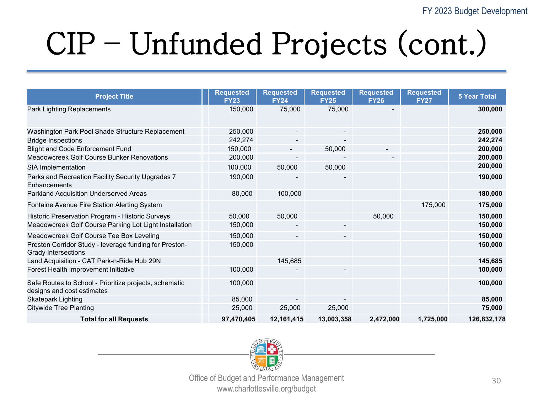#### CIP – Unfunded Projects (cont.)

| <b>Project Title</b>                                                                 | <b>Requested</b><br><b>FY23</b> | <b>Requested</b><br><b>FY24</b> | <b>Requested</b><br><b>FY25</b> | <b>Requested</b><br><b>FY26</b> | <b>Requested</b><br><b>FY27</b> | <b>5 Year Total</b> |
|--------------------------------------------------------------------------------------|---------------------------------|---------------------------------|---------------------------------|---------------------------------|---------------------------------|---------------------|
| Park Lighting Replacements                                                           | 150,000                         | 75,000                          | 75,000                          |                                 |                                 | 300,000             |
| Washington Park Pool Shade Structure Replacement                                     | 250,000                         | $\blacksquare$                  | $\blacksquare$                  |                                 |                                 | 250,000             |
| <b>Bridge Inspections</b>                                                            | 242,274                         |                                 |                                 |                                 |                                 | 242,274             |
| <b>Blight and Code Enforcement Fund</b>                                              | 150,000                         | $\overline{\phantom{a}}$        | 50,000                          |                                 |                                 | 200,000             |
| Meadowcreek Golf Course Bunker Renovations                                           | 200,000                         | $\blacksquare$                  |                                 |                                 |                                 | 200,000             |
| SIA Implementation                                                                   | 100,000                         | 50,000                          | 50,000                          |                                 |                                 | 200,000             |
| Parks and Recreation Facility Security Upgrades 7<br>Enhancements                    | 190,000                         |                                 |                                 |                                 |                                 | 190,000             |
| Parkland Acquisition Underserved Areas                                               | 80,000                          | 100,000                         |                                 |                                 |                                 | 180,000             |
| Fontaine Avenue Fire Station Alerting System                                         |                                 |                                 |                                 |                                 | 175,000                         | 175,000             |
| Historic Preservation Program - Historic Surveys                                     | 50,000                          | 50,000                          |                                 | 50,000                          |                                 | 150,000             |
| Meadowcreek Golf Course Parking Lot Light Installation                               | 150,000                         |                                 |                                 |                                 |                                 | 150,000             |
| Meadowcreek Golf Course Tee Box Leveling                                             | 150,000                         | $\overline{\phantom{a}}$        |                                 |                                 |                                 | 150,000             |
| Preston Corridor Study - leverage funding for Preston-<br>Grady Intersections        | 150,000                         |                                 |                                 |                                 |                                 | 150,000             |
| Land Acquisition - CAT Park-n-Ride Hub 29N                                           |                                 | 145,685                         |                                 |                                 |                                 | 145,685             |
| Forest Health Improvement Initiative                                                 | 100,000                         |                                 |                                 |                                 |                                 | 100,000             |
| Safe Routes to School - Prioritize projects, schematic<br>designs and cost estimates | 100,000                         |                                 |                                 |                                 |                                 | 100,000             |
| <b>Skatepark Lighting</b>                                                            | 85,000                          | $\overline{\phantom{a}}$        |                                 |                                 |                                 | 85,000              |
| <b>Citywide Tree Planting</b>                                                        | 25,000                          | 25,000                          | 25,000                          |                                 |                                 | 75,000              |
| <b>Total for all Requests</b>                                                        | 97,470,405                      | 12,161,415                      | 13,003,358                      | 2,472,000                       | 1,725,000                       | 126,832,178         |

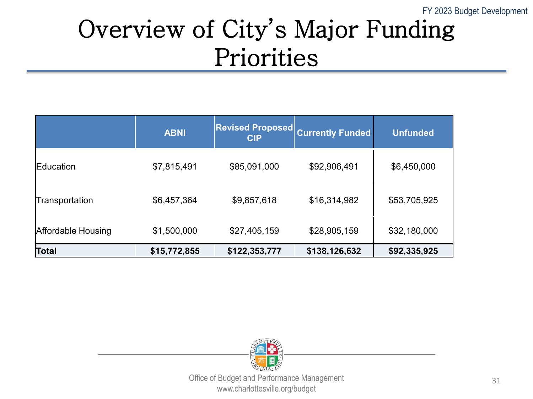#### Overview of City's Major Funding Priorities

|                    | <b>ABNI</b>  | <b>Revised Proposed</b><br><b>CIP</b> | <b>Currently Funded</b> | <b>Unfunded</b> |
|--------------------|--------------|---------------------------------------|-------------------------|-----------------|
| <b>IEducation</b>  | \$7,815,491  | \$85,091,000                          | \$92,906,491            | \$6,450,000     |
| Transportation     | \$6,457,364  | \$9,857,618                           | \$16,314,982            | \$53,705,925    |
| Affordable Housing | \$1,500,000  | \$27,405,159                          | \$28,905,159            | \$32,180,000    |
| Total              | \$15,772,855 | \$122,353,777                         | \$138,126,632           | \$92,335,925    |

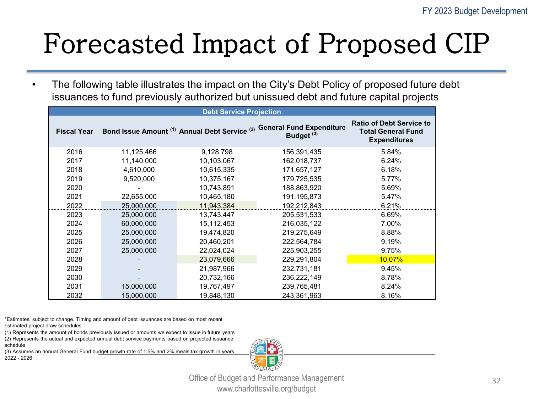#### Forecasted Impact of Proposed CIP

• The following table illustrates the impact on the City's Debt Policy of proposed future debt issuances to fund previously authorized but unissued debt and future capital projects

| <b>Debt Service Projection</b> |            |            |                                                                                                 |                                                                                     |  |
|--------------------------------|------------|------------|-------------------------------------------------------------------------------------------------|-------------------------------------------------------------------------------------|--|
| <b>Fiscal Year</b>             |            |            | Bond Issue Amount (1) Annual Debt Service (2) General Fund Expenditure<br>Budget <sup>(3)</sup> | <b>Ratio of Debt Service to</b><br><b>Total General Fund</b><br><b>Expenditures</b> |  |
| 2016                           | 11,125,466 | 9,128,798  | 156,391,435                                                                                     | 5.84%                                                                               |  |
| 2017                           | 11,140,000 | 10,103,067 | 162,018,737                                                                                     | 6.24%                                                                               |  |
| 2018                           | 4,610,000  | 10,615,335 | 171,657,127                                                                                     | 6.18%                                                                               |  |
| 2019                           | 9,520,000  | 10,375,167 | 179,725,535                                                                                     | 5.77%                                                                               |  |
| 2020                           |            | 10,743,891 | 188,863,920                                                                                     | 5.69%                                                                               |  |
| 2021                           | 22,655,000 | 10,465,180 | 191,195,873                                                                                     | 5.47%                                                                               |  |
| 2022                           | 25,000,000 | 11,943,384 | 192,212,843                                                                                     | 6.21%                                                                               |  |
| 2023                           | 25,000,000 | 13,743,447 | 205,531,533                                                                                     | 6.69%                                                                               |  |
| 2024                           | 60,000,000 | 15,112,453 | 216,035,122                                                                                     | 7.00%                                                                               |  |
| 2025                           | 25,000,000 | 19,474,820 | 219,275,649                                                                                     | 8.88%                                                                               |  |
| 2026                           | 25,000,000 | 20,460,201 | 222,564,784                                                                                     | 9.19%                                                                               |  |
| 2027                           | 25,000,000 | 22,024,024 | 225,903,255                                                                                     | 9.75%                                                                               |  |
| 2028                           |            | 23,079,666 | 229,291,804                                                                                     | <b>10.07%</b>                                                                       |  |
| 2029                           |            | 21,987,966 | 232,731,181                                                                                     | 9.45%                                                                               |  |
| 2030                           |            | 20,732,166 | 236,222,149                                                                                     | 8.78%                                                                               |  |
| 2031                           | 15,000,000 | 19,767,497 | 239,765,481                                                                                     | 8.24%                                                                               |  |
| 2032                           | 15,000,000 | 19,848,130 | 243,361,963                                                                                     | 8.16%                                                                               |  |

\*Estimates, subject to change. Timing and amount of debt issuances are based on most recent estimated project draw schedules

(1) Represents the amount of bonds previously issued or amounts we expect to issue in future years (2) Represents the actual and expected annual debt service payments based on projected issuance

schedule (3) Assumes an annual General Fund budget growth rate of 1.5% and 2% meals tax growth in years 2022 - 2026

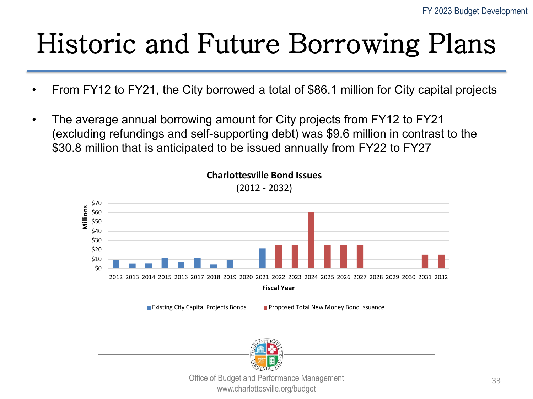#### Historic and Future Borrowing Plans

- From FY12 to FY21, the City borrowed a total of \$86.1 million for City capital projects
- The average annual borrowing amount for City projects from FY12 to FY21 (excluding refundings and self-supporting debt) was \$9.6 million in contrast to the \$30.8 million that is anticipated to be issued annually from FY22 to FY27



**Charlottesville Bond Issues**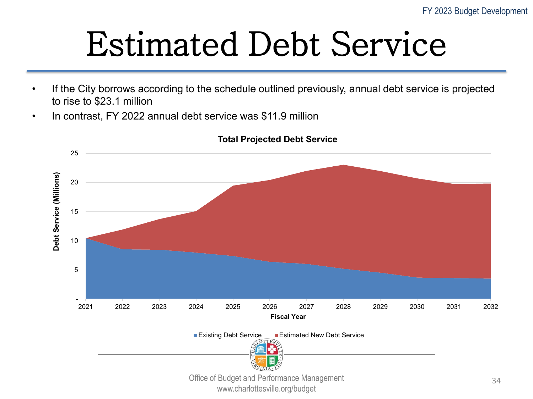#### Estimated Debt Service

- If the City borrows according to the schedule outlined previously, annual debt service is projected to rise to \$23.1 million
- In contrast, FY 2022 annual debt service was \$11.9 million



**Total Projected Debt Service**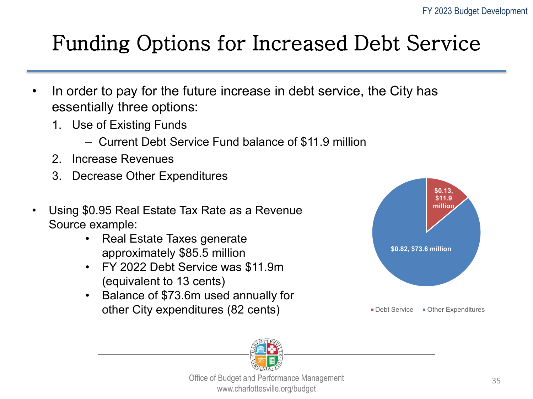#### Funding Options for Increased Debt Service

- In order to pay for the future increase in debt service, the City has essentially three options:
	- 1. Use of Existing Funds
		- ‒ Current Debt Service Fund balance of \$11.9 million
	- 2. Increase Revenues
	- 3. Decrease Other Expenditures
- Using \$0.95 Real Estate Tax Rate as a Revenue Source example:
	- Real Estate Taxes generate approximately \$85.5 million
	- FY 2022 Debt Service was \$11.9m (equivalent to 13 cents)
	- Balance of \$73.6m used annually for other City expenditures (82 cents)



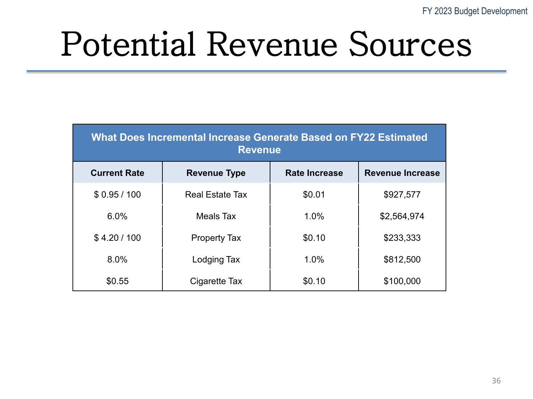#### Potential Revenue Sources

| <b>What Does Incremental Increase Generate Based on FY22 Estimated</b><br><b>Revenue</b> |                        |                      |                         |  |  |
|------------------------------------------------------------------------------------------|------------------------|----------------------|-------------------------|--|--|
| <b>Current Rate</b>                                                                      | <b>Revenue Type</b>    | <b>Rate Increase</b> | <b>Revenue Increase</b> |  |  |
| \$0.95/100                                                                               | <b>Real Estate Tax</b> | \$0.01               | \$927,577               |  |  |
| 6.0%                                                                                     | Meals Tax              | 1.0%                 | \$2,564,974             |  |  |
| \$4.20/100                                                                               | <b>Property Tax</b>    | \$0.10               | \$233,333               |  |  |
| 8.0%                                                                                     | Lodging Tax            | 1.0%                 | \$812,500               |  |  |
| \$0.55                                                                                   | Cigarette Tax          | \$0.10               | \$100,000               |  |  |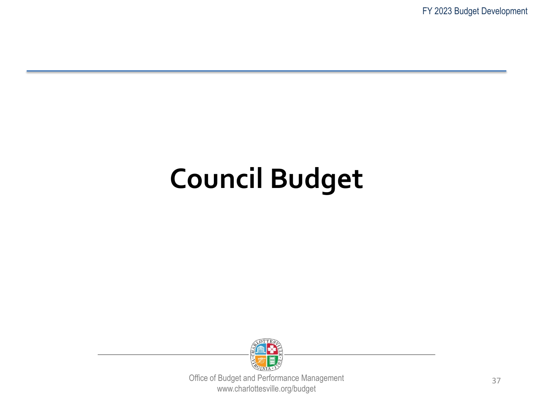FY 2023 Budget Development

#### **Council Budget**

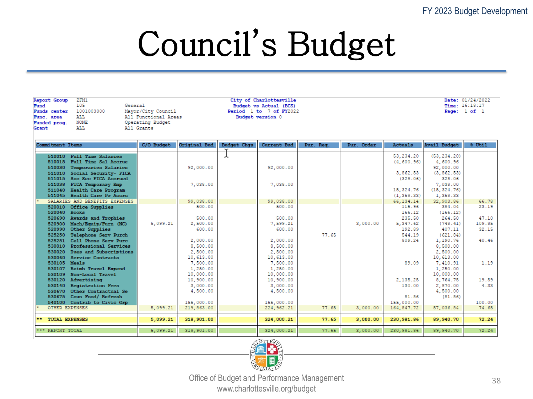#### Council's Budget

Report Group ZFM1 Fund 105 1001003000 Funds center **ALL** Func. area Funded prog. **NONE** Grant **ALL** 

General Mayor/City Council All Functional Areas Operating Budget All Grants

City of Charlottesville Budget vs Actual (BCS) Period 1 to 7 of FY2022 Budget version 0

Date: 01/24/2022 Time: 16:18:17 Page: 1 of 1

| Commitment Items                                             | C/O Budget | Original Bud          | <b>Budget Chgs</b> | Current Bud           | Pur. Req. | Pur. Order | Actuals            | <b>Avail Budget</b>      | % Util        |
|--------------------------------------------------------------|------------|-----------------------|--------------------|-----------------------|-----------|------------|--------------------|--------------------------|---------------|
| <b>Full Time Salaries</b><br>510010                          |            |                       |                    |                       |           |            | 53, 234.20         | (53, 234.20)             |               |
| 510015<br>Full Time Sal Accrue                               |            |                       |                    |                       |           |            | (4,600.96)         | 4,600.96                 |               |
| Temporaries Salaries<br>510030                               |            | 92,000.00             |                    | 92,000.00             |           |            |                    | 92,000.00                |               |
| Social Security- FICA<br>511010                              |            |                       |                    |                       |           |            | 3,862.53           | (3, 862.53)              |               |
| Soc Sec FICA Accrued<br>511015                               |            |                       |                    |                       |           |            | (328.06)           | 328.06                   |               |
| FICA Temporary Emp<br>511038                                 |            | 7,038.00              |                    | 7,038.00              |           |            | 15,324.76          | 7,038.00                 |               |
| Health Care Program<br>511040<br>511045 Health Care Pr Accru |            |                       |                    |                       |           |            | (1, 358.33)        | (15, 324.76)<br>1,358.33 |               |
| SALARIES AND BENEFITS EXPENSES                               |            | 99,038.00             |                    | 99,038.00             |           |            | 66, 134. 14        | 32,903.86                | 66.78         |
| 520010<br>Office Supplies                                    |            | 500.00                |                    | 500.00                |           |            | 115.96             | 384.04                   | 23.19         |
| 520040 Books                                                 |            |                       |                    |                       |           |            | 166.12             | (166.12)                 |               |
| 520690 Awards and Trophies                                   |            | 500.00                |                    | 500.00                |           |            | 235.50             | 264.50                   | 47.10         |
| Mach/Equip/Furn (NC)<br>520900                               | 5,099.21   | 2,500.00              |                    | 7,599.21              |           | 3,000.00   | 5,347.62           | (748.41)                 | 109.85        |
| Other Supplies<br>520990                                     |            | 600.00                |                    | 600.00                |           |            | 192.89             | 407.11                   | 32.15         |
| Telephone Serv Purch<br>525250                               |            |                       |                    |                       | 77.65     |            | 544.19             | (621.84)                 |               |
| Cell Phone Serv Purc<br>525251                               |            | 2,000.00              |                    | 2,000.00              |           |            | 809.24             | 1,190.76                 | 40.46         |
| Professional Services<br>530010                              |            | 8,500.00              |                    | 8,500.00              |           |            |                    | 8,500.00                 |               |
| Dues and Subscriptions<br>530020                             |            | 2,500.00              |                    | 2,500.00              |           |            |                    | 2,500.00                 |               |
| Service Contracts<br>530060                                  |            | 10,613.00             |                    | 10,613.00             |           |            |                    | 10,613.00                |               |
| 530105 Meals                                                 |            | 7,500.00              |                    | 7,500.00              |           |            | 89.09              | 7,410.91                 | 1.19          |
| Reimb Travel Expend<br>530107                                |            | 1,250.00              |                    | 1,250.00              |           |            |                    | 1,250.00                 |               |
| Non-Local Travel<br>530109                                   |            | 10,000.00             |                    | 10,000.00             |           |            |                    | 10,000.00                |               |
| Advertising<br>530120<br><b>Registration Fees</b><br>530140  |            | 10,900.00<br>3,000.00 |                    | 10,900.00<br>3,000.00 |           |            | 2,135.25<br>130.00 | 8,764.75<br>2,870.00     | 19.59<br>4.33 |
| Other Contractual Se<br>530670                               |            | 4,500.00              |                    | 4,500.00              |           |            |                    | 4,500.00                 |               |
| Coun Food/ Refresh<br>530675                                 |            |                       |                    |                       |           |            | 81.86              | (81.86)                  |               |
| 540100 Contrib to Civic Grp                                  |            | 155,000.00            |                    | 155,000.00            |           |            | 155,000.00         |                          | 100.00        |
| OTHER EXPENSES                                               | 5.099.21   | 219,863.00            |                    | 224, 962.21           | 77.65     | 3,000.00   | 164,847.72         | 57,036.84                | 74.65         |
|                                                              |            |                       |                    |                       |           |            |                    |                          |               |
| ** TOTAL EXPENSES                                            | 5,099.21   | 318,901.00            |                    | 324,000.21            | 77.65     | 3,000.00   | 230,981.86         | 89,940.70                | 72.24         |
| *** REPORT TOTAL                                             | 5,099.21   | 318,901.00            |                    | 324,000.21            | 77.65     | 3,000.00   | 230,981.86         | 89,940.70                | 72.24         |

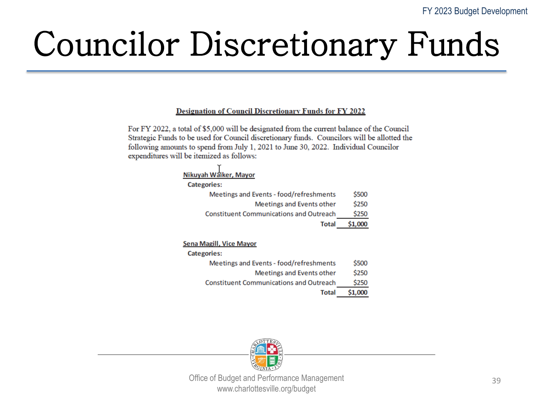## Councilor Discretionary Funds

#### **Designation of Council Discretionary Funds for FY 2022**

For FY 2022, a total of \$5,000 will be designated from the current balance of the Council Strategic Funds to be used for Council discretionary funds. Councilors will be allotted the following amounts to spend from July 1, 2021 to June 30, 2022. Individual Councilor expenditures will be itemized as follows:

| Nikuyah Waiker, Mayor                          |         |
|------------------------------------------------|---------|
| <b>Categories:</b>                             |         |
| Meetings and Events - food/refreshments        | \$500   |
| Meetings and Events other                      | \$250   |
| <b>Constituent Communications and Outreach</b> | \$250   |
| <b>Total</b>                                   | \$1,000 |
|                                                |         |
| <b>Sena Magill, Vice Mayor</b>                 |         |
| <b>Categories:</b>                             |         |
| Meetings and Events - food/refreshments        | S500    |

| <b>Total</b>                                       | \$1,000     |
|----------------------------------------------------|-------------|
| <b>Constituent Communications and Outreach</b>     | \$250       |
| Meetings and Events other                          | \$250       |
| <b>IVIEEUIIRS diiu EVENIS - TOOG/TEITESIINENIS</b> | <b>JJUU</b> |

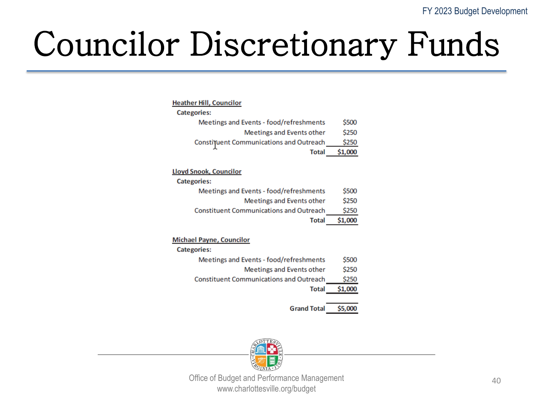### Councilor Discretionary Funds

| Heather Hill, Councilor |  |
|-------------------------|--|
|-------------------------|--|

| <b>Categories:</b>                             |         |
|------------------------------------------------|---------|
| Meetings and Events - food/refreshments        | \$500   |
| Meetings and Events other                      | \$250   |
| <b>Constituent Communications and Outreach</b> | \$250   |
| Total                                          | \$1,000 |

#### **Lloyd Snook, Councilor**

| <b>Categories:</b>                             |         |
|------------------------------------------------|---------|
| Meetings and Events - food/refreshments        | \$500   |
| Meetings and Events other                      | \$250   |
| <b>Constituent Communications and Outreach</b> | \$250   |
| <b>Total</b>                                   | \$1,000 |

#### **Michael Payne, Councilor**

**Categories:** 

- Meetings and Events food/refreshments \$500
	- Meetings and Events other \$250
- **Constituent Communications and Outreach** \$250
	- \$1,000 **Total**

**Grand Total** \$5,000

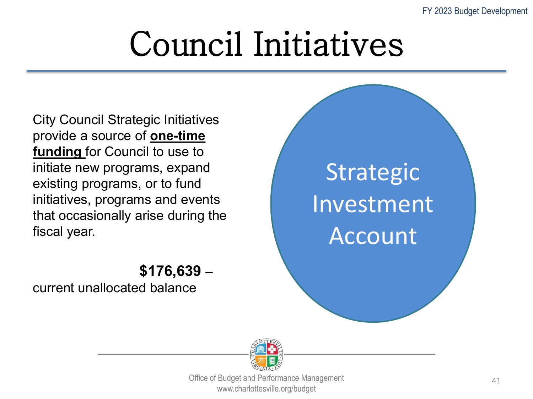## Council Initiatives

City Council Strategic Initiatives provide a source of **one-time funding** for Council to use to initiate new programs, expand existing programs, or to fund initiatives, programs and events that occasionally arise during the fiscal year.

#### **Strategic** Investment Account

#### **\$176,639** –

current unallocated balance

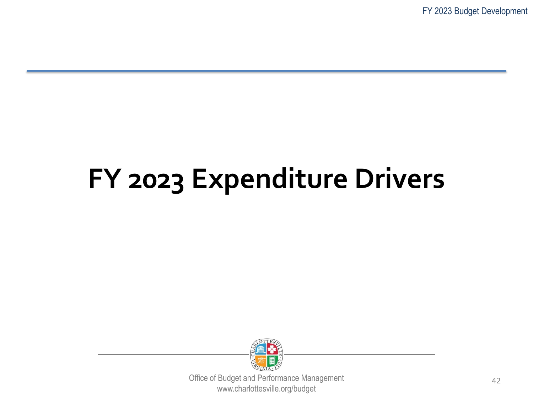FY 2023 Budget Development

#### **FY 2023 Expenditure Drivers**

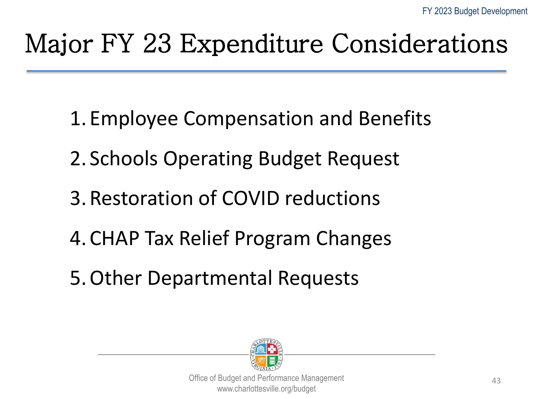#### Major FY 23 Expenditure Considerations

- 1. Employee Compensation and Benefits
- 2. Schools Operating Budget Request
- 3. Restoration of COVID reductions
- 4. CHAP Tax Relief Program Changes
- 5.Other Departmental Requests